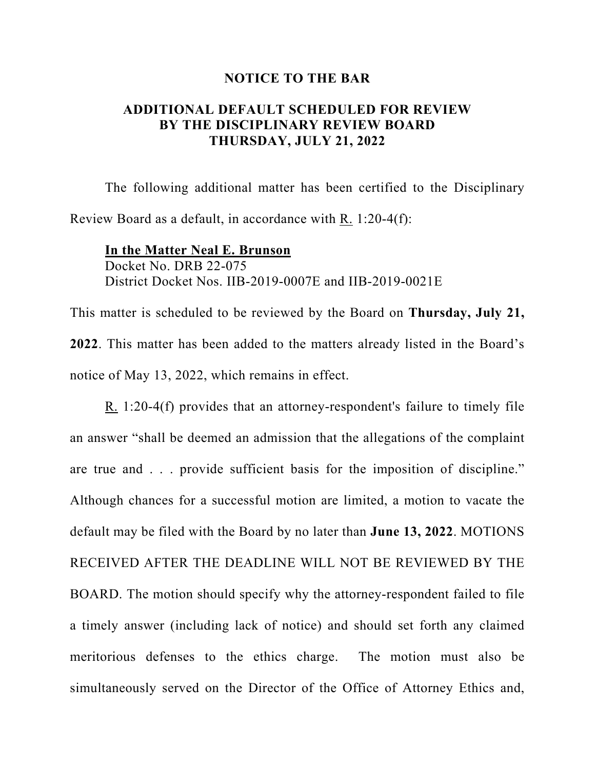## **NOTICE TO THE BAR**

## **ADDITIONAL DEFAULT SCHEDULED FOR REVIEW BY THE DISCIPLINARY REVIEW BOARD THURSDAY, JULY 21, 2022**

The following additional matter has been certified to the Disciplinary Review Board as a default, in accordance with R. 1:20-4(f):

**In the Matter Neal E. Brunson** Docket No. DRB 22-075 District Docket Nos. IIB-2019-0007E and IIB-2019-0021E

This matter is scheduled to be reviewed by the Board on **Thursday, July 21, 2022**. This matter has been added to the matters already listed in the Board's notice of May 13, 2022, which remains in effect.

R. 1:20-4(f) provides that an attorney-respondent's failure to timely file an answer "shall be deemed an admission that the allegations of the complaint are true and . . . provide sufficient basis for the imposition of discipline." Although chances for a successful motion are limited, a motion to vacate the default may be filed with the Board by no later than **June 13, 2022**. MOTIONS RECEIVED AFTER THE DEADLINE WILL NOT BE REVIEWED BY THE BOARD. The motion should specify why the attorney-respondent failed to file a timely answer (including lack of notice) and should set forth any claimed meritorious defenses to the ethics charge. The motion must also be simultaneously served on the Director of the Office of Attorney Ethics and,